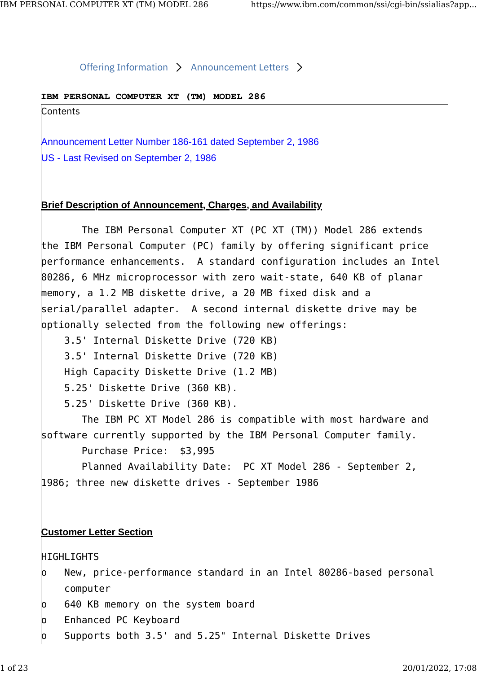#### Offering Information  $\rightarrow$  Announcement Letters  $\rightarrow$

### **IBM PERSONAL COMPUTER XT (TM) MODEL 286**

**Contents** 

Announcement Letter Number 186-161 dated September 2, 1986 US - Last Revised on September 2, 1986

## **Brief Description of Announcement, Charges, and Availability**

The IBM Personal Computer XT (PC XT (TM)) Model 286 extends the IBM Personal Computer (PC) family by offering significant price performance enhancements. A standard configuration includes an Intel 80286, 6 MHz microprocessor with zero wait-state, 640 KB of planar memory, a 1.2 MB diskette drive, a 20 MB fixed disk and a serial/parallel adapter. A second internal diskette drive may be optionally selected from the following new offerings:

3.5' Internal Diskette Drive (720 KB)

3.5' Internal Diskette Drive (720 KB)

High Capacity Diskette Drive (1.2 MB)

5.25' Diskette Drive (360 KB).

5.25' Diskette Drive (360 KB).

The IBM PC XT Model 286 is compatible with most hardware and software currently supported by the IBM Personal Computer family.

Purchase Price: \$3,995

Planned Availability Date: PC XT Model 286 - September 2, 1986; three new diskette drives - September 1986

# **Customer Letter Section**

HIGHLIGHTS

- o New, price-performance standard in an Intel 80286-based personal computer
- o 640 KB memory on the system board
- o Enhanced PC Keyboard
- o Supports both 3.5' and 5.25" Internal Diskette Drives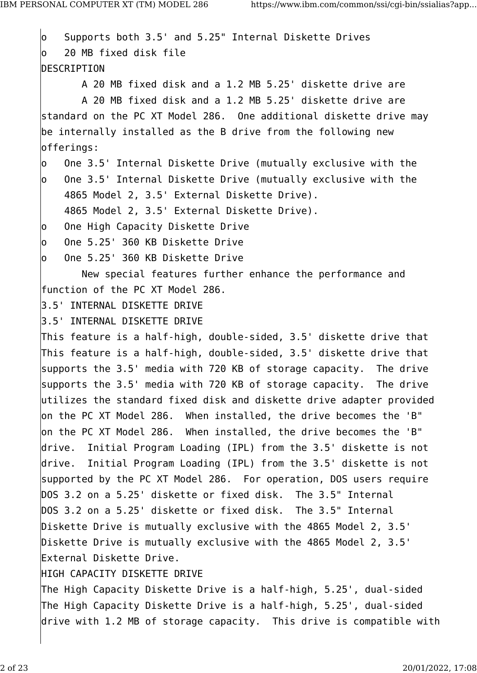o Supports both 3.5' and 5.25" Internal Diskette Drives o 20 MB fixed disk file DESCRIPTION A 20 MB fixed disk and a 1.2 MB 5.25' diskette drive are A 20 MB fixed disk and a 1.2 MB 5.25' diskette drive are standard on the PC XT Model 286. One additional diskette drive may be internally installed as the B drive from the following new offerings: o One 3.5' Internal Diskette Drive (mutually exclusive with the o One 3.5' Internal Diskette Drive (mutually exclusive with the 4865 Model 2, 3.5' External Diskette Drive). 4865 Model 2, 3.5' External Diskette Drive). o One High Capacity Diskette Drive o One 5.25' 360 KB Diskette Drive o One 5.25' 360 KB Diskette Drive New special features further enhance the performance and function of the PC XT Model 286. 3.5' INTERNAL DISKETTE DRIVE 3.5' INTERNAL DISKETTE DRIVE This feature is a half-high, double-sided, 3.5' diskette drive that This feature is a half-high, double-sided, 3.5' diskette drive that supports the 3.5' media with 720 KB of storage capacity. The drive supports the 3.5' media with 720 KB of storage capacity. The drive utilizes the standard fixed disk and diskette drive adapter provided on the PC XT Model 286. When installed, the drive becomes the 'B" on the PC XT Model 286. When installed, the drive becomes the 'B" drive. Initial Program Loading (IPL) from the 3.5' diskette is not drive. Initial Program Loading (IPL) from the 3.5' diskette is not supported by the PC XT Model 286. For operation, DOS users require DOS 3.2 on a 5.25' diskette or fixed disk. The 3.5" Internal DOS 3.2 on a 5.25' diskette or fixed disk. The 3.5" Internal Diskette Drive is mutually exclusive with the 4865 Model 2, 3.5' Diskette Drive is mutually exclusive with the 4865 Model 2, 3.5' External Diskette Drive. HIGH CAPACITY DISKETTE DRIVE The High Capacity Diskette Drive is a half-high, 5.25', dual-sided The High Capacity Diskette Drive is a half-high, 5.25', dual-sided drive with 1.2 MB of storage capacity. This drive is compatible with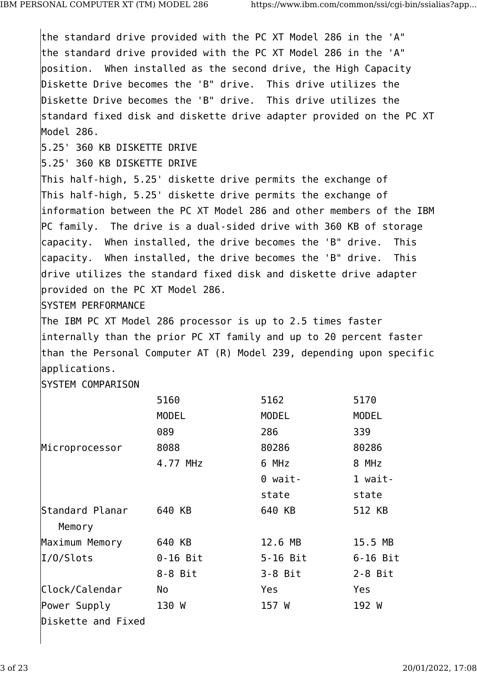the standard drive provided with the PC XT Model 286 in the 'A" the standard drive provided with the PC XT Model 286 in the 'A" position. When installed as the second drive, the High Capacity Diskette Drive becomes the 'B" drive. This drive utilizes the Diskette Drive becomes the 'B" drive. This drive utilizes the standard fixed disk and diskette drive adapter provided on the PC XT Model 286. 5.25' 360 KB DISKETTE DRIVE 5.25' 360 KB DISKETTE DRIVE This half-high, 5.25' diskette drive permits the exchange of This half-high, 5.25' diskette drive permits the exchange of information between the PC XT Model 286 and other members of the IBM PC family. The drive is a dual-sided drive with 360 KB of storage capacity. When installed, the drive becomes the 'B" drive. This capacity. When installed, the drive becomes the 'B" drive. This drive utilizes the standard fixed disk and diskette drive adapter provided on the PC XT Model 286. SYSTEM PERFORMANCE The IBM PC XT Model 286 processor is up to 2.5 times faster internally than the prior PC XT family and up to 20 percent faster than the Personal Computer AT (R) Model 239, depending upon specific applications. SYSTEM COMPARISON 5160 5162 5170 MODEL MODEL MODEL 089 286 339 Microprocessor 8088 80286 80286 4.77 MHz 6 MHz 8 MHz 0 wait- 1 wait state state Standard Planar 640 KB 640 KB 512 KB Memory Maximum Memory 640 KB 12.6 MB 15.5 MB I/O/Slots 0-16 Bit 5-16 Bit 6-16 Bit 8-8 Bit 3-8 Bit 2-8 Bit Clock/Calendar No Yes Yes Power Supply 130 W 157 W 192 W Diskette and Fixed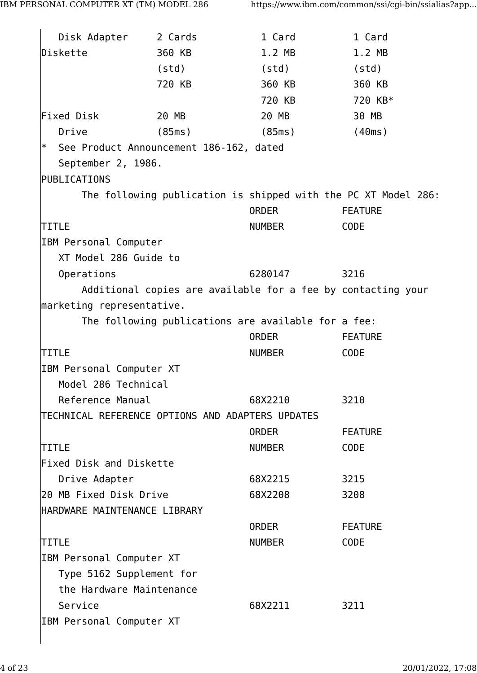| Disk Adapter                                      | 2 Cards | 1 Card                                              | 1 Card                                                         |
|---------------------------------------------------|---------|-----------------------------------------------------|----------------------------------------------------------------|
| Diskette                                          | 360 KB  | 1.2 MB                                              | 1.2 MB                                                         |
|                                                   | (std)   | (std)                                               | (std)                                                          |
|                                                   | 720 KB  | 360 KB                                              | 360 KB                                                         |
|                                                   |         | 720 KB                                              | 720 KB*                                                        |
| Fixed Disk                                        | 20 MB   | 20 MB                                               | 30 MB                                                          |
| Drive                                             | (85ms)  | (85ms)                                              | (40ms)                                                         |
| $\ast$<br>See Product Announcement 186-162, dated |         |                                                     |                                                                |
| September 2, 1986.                                |         |                                                     |                                                                |
| PUBLICATIONS                                      |         |                                                     |                                                                |
|                                                   |         |                                                     | The following publication is shipped with the PC XT Model 286: |
|                                                   |         | ORDER                                               | <b>FEATURE</b>                                                 |
| <b>TITLE</b>                                      |         | NUMBER                                              | <b>CODE</b>                                                    |
| IBM Personal Computer                             |         |                                                     |                                                                |
| XT Model 286 Guide to                             |         |                                                     |                                                                |
| Operations                                        |         | 6280147                                             | 3216                                                           |
|                                                   |         |                                                     | Additional copies are available for a fee by contacting your   |
| marketing representative.                         |         |                                                     |                                                                |
|                                                   |         | The following publications are available for a fee: |                                                                |
|                                                   |         | <b>ORDER</b>                                        | <b>FEATURE</b>                                                 |
| <b>TITLE</b>                                      |         | NUMBER                                              | <b>CODE</b>                                                    |
| IBM Personal Computer XT                          |         |                                                     |                                                                |
| Model 286 Technical                               |         |                                                     |                                                                |
| Reference Manual                                  |         | 68X2210                                             | 3210                                                           |
| TECHNICAL REFERENCE OPTIONS AND ADAPTERS UPDATES  |         |                                                     |                                                                |
|                                                   |         | <b>ORDER</b>                                        | <b>FEATURE</b>                                                 |
| <b>TITLE</b>                                      |         | NUMBER                                              | <b>CODE</b>                                                    |
| Fixed Disk and Diskette                           |         |                                                     |                                                                |
| Drive Adapter                                     |         | 68X2215                                             | 3215                                                           |
| 20 MB Fixed Disk Drive                            |         | 68X2208                                             | 3208                                                           |
| HARDWARE MAINTENANCE LIBRARY                      |         |                                                     |                                                                |
|                                                   |         | ORDER                                               | <b>FEATURE</b>                                                 |
| <b>TITLE</b>                                      |         | <b>NUMBER</b>                                       | <b>CODE</b>                                                    |
| IBM Personal Computer XT                          |         |                                                     |                                                                |
| Type 5162 Supplement for                          |         |                                                     |                                                                |
| the Hardware Maintenance                          |         |                                                     |                                                                |
| Service                                           |         | 68X2211                                             | 3211                                                           |
| IBM Personal Computer XT                          |         |                                                     |                                                                |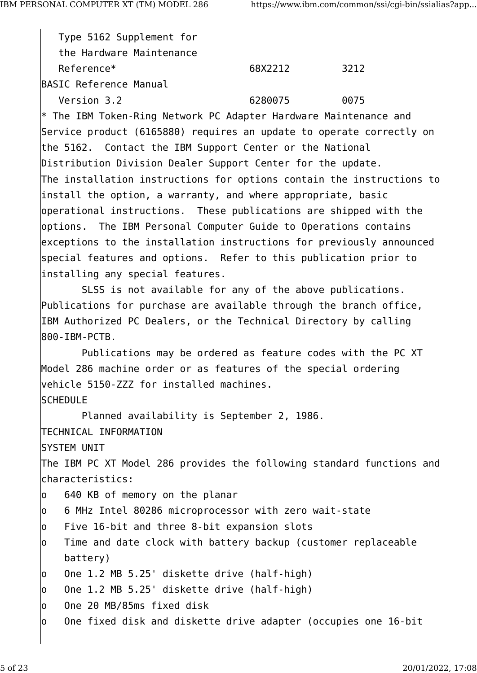Type 5162 Supplement for the Hardware Maintenance Reference\* 68X2212 3212 BASIC Reference Manual Version 3.2 6280075 0075 \* The IBM Token-Ring Network PC Adapter Hardware Maintenance and Service product (6165880) requires an update to operate correctly on the 5162. Contact the IBM Support Center or the National Distribution Division Dealer Support Center for the update. The installation instructions for options contain the instructions to install the option, a warranty, and where appropriate, basic operational instructions. These publications are shipped with the options. The IBM Personal Computer Guide to Operations contains exceptions to the installation instructions for previously announced special features and options. Refer to this publication prior to installing any special features. SLSS is not available for any of the above publications. Publications for purchase are available through the branch office, IBM Authorized PC Dealers, or the Technical Directory by calling 800-IBM-PCTB. Publications may be ordered as feature codes with the PC XT Model 286 machine order or as features of the special ordering vehicle 5150-ZZZ for installed machines. **SCHEDULE** Planned availability is September 2, 1986. TECHNICAL INFORMATION SYSTEM UNIT The IBM PC XT Model 286 provides the following standard functions and characteristics: o 640 KB of memory on the planar o 6 MHz Intel 80286 microprocessor with zero wait-state o Five 16-bit and three 8-bit expansion slots o Time and date clock with battery backup (customer replaceable battery) o One 1.2 MB 5.25' diskette drive (half-high) o One 1.2 MB 5.25' diskette drive (half-high) o One 20 MB/85ms fixed disk  $\vert$ o One fixed disk and diskette drive adapter (occupies one 16-bit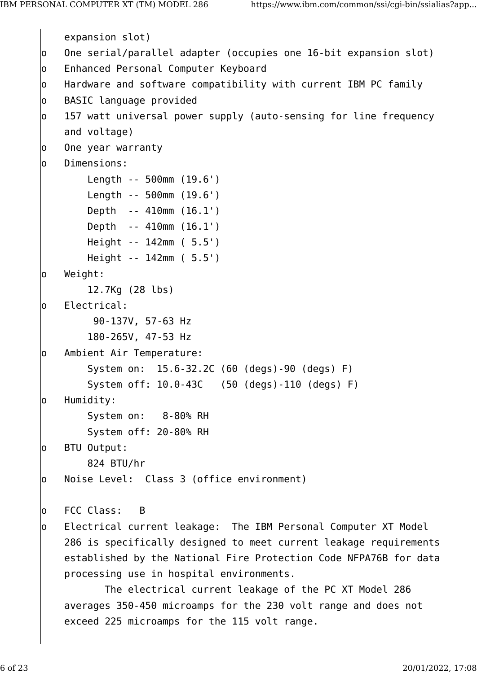```
 expansion slot)
o One serial/parallel adapter (occupies one 16-bit expansion slot)
o Enhanced Personal Computer Keyboard
o Hardware and software compatibility with current IBM PC family
o BASIC language provided
o 157 watt universal power supply (auto-sensing for line frequency
    and voltage)
o One year warranty
o Dimensions:
         Length -- 500mm (19.6')
         Length -- 500mm (19.6')
         Depth -- 410mm (16.1')
        Depth -- 410mm (16.1')
        Height -- 142mm ( 5.5')
        Height -- 142mm ( 5.5')
o Weight:
         12.7Kg (28 lbs)
o Electrical:
        90-137V, 57-63 Hz
         180-265V, 47-53 Hz
o Ambient Air Temperature:
         System on: 15.6-32.2C (60 (degs)-90 (degs) F)
         System off: 10.0-43C (50 (degs)-110 (degs) F)
o Humidity:
         System on: 8-80% RH
         System off: 20-80% RH
o BTU Output:
         824 BTU/hr
o Noise Level: Class 3 (office environment)
o FCC Class: B
o Electrical current leakage: The IBM Personal Computer XT Model
    286 is specifically designed to meet current leakage requirements
    established by the National Fire Protection Code NFPA76B for data
    processing use in hospital environments.
           The electrical current leakage of the PC XT Model 286
    averages 350-450 microamps for the 230 volt range and does not
     exceed 225 microamps for the 115 volt range.
```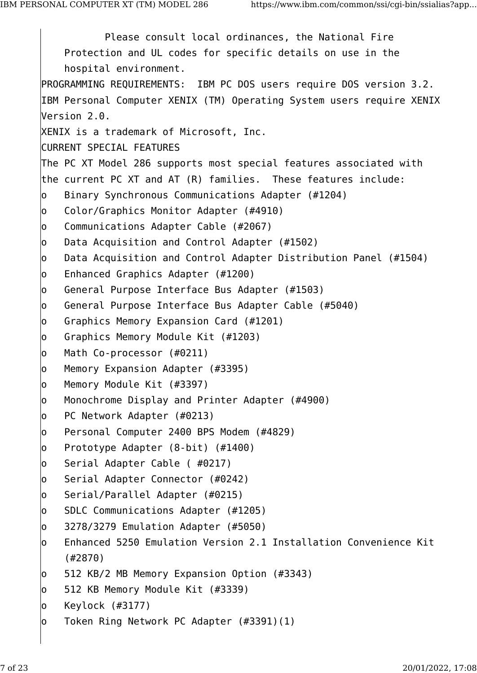Please consult local ordinances, the National Fire Protection and UL codes for specific details on use in the hospital environment. PROGRAMMING REQUIREMENTS: IBM PC DOS users require DOS version 3.2. IBM Personal Computer XENIX (TM) Operating System users require XENIX Version 2.0. XENIX is a trademark of Microsoft, Inc. CURRENT SPECIAL FEATURES The PC XT Model 286 supports most special features associated with the current PC XT and AT (R) families. These features include: o Binary Synchronous Communications Adapter (#1204) o Color/Graphics Monitor Adapter (#4910) o Communications Adapter Cable (#2067) o Data Acquisition and Control Adapter (#1502) o Data Acquisition and Control Adapter Distribution Panel (#1504) o Enhanced Graphics Adapter (#1200) o General Purpose Interface Bus Adapter (#1503) o General Purpose Interface Bus Adapter Cable (#5040) o Graphics Memory Expansion Card (#1201) o Graphics Memory Module Kit (#1203) o Math Co-processor (#0211) o Memory Expansion Adapter (#3395) o Memory Module Kit (#3397) o Monochrome Display and Printer Adapter (#4900) o PC Network Adapter (#0213) o Personal Computer 2400 BPS Modem (#4829) o Prototype Adapter (8-bit) (#1400) o Serial Adapter Cable ( #0217) o Serial Adapter Connector (#0242) o Serial/Parallel Adapter (#0215) o SDLC Communications Adapter (#1205) o 3278/3279 Emulation Adapter (#5050) o Enhanced 5250 Emulation Version 2.1 Installation Convenience Kit (#2870) o 512 KB/2 MB Memory Expansion Option (#3343) o 512 KB Memory Module Kit (#3339) o Keylock (#3177) o Token Ring Network PC Adapter (#3391)(1)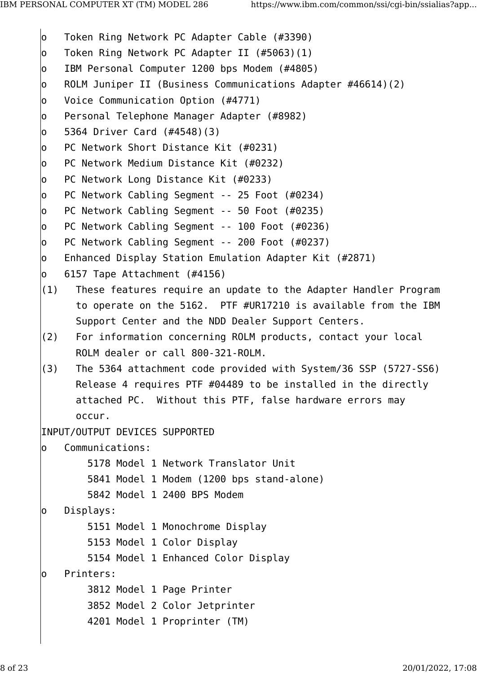- o Token Ring Network PC Adapter Cable (#3390)
- o Token Ring Network PC Adapter II (#5063)(1)
- o IBM Personal Computer 1200 bps Modem (#4805)
- o ROLM Juniper II (Business Communications Adapter #46614)(2)
- o Voice Communication Option (#4771)
- o Personal Telephone Manager Adapter (#8982)
- o 5364 Driver Card (#4548)(3)
- o PC Network Short Distance Kit (#0231)
- o PC Network Medium Distance Kit (#0232)
- o PC Network Long Distance Kit (#0233)
- o PC Network Cabling Segment -- 25 Foot (#0234)
- o PC Network Cabling Segment -- 50 Foot (#0235)
- o PC Network Cabling Segment -- 100 Foot (#0236)
- o PC Network Cabling Segment -- 200 Foot (#0237)
- o Enhanced Display Station Emulation Adapter Kit (#2871)
- o 6157 Tape Attachment (#4156)
- (1) These features require an update to the Adapter Handler Program to operate on the 5162. PTF #UR17210 is available from the IBM Support Center and the NDD Dealer Support Centers.
- (2) For information concerning ROLM products, contact your local ROLM dealer or call 800-321-ROLM.
- (3) The 5364 attachment code provided with System/36 SSP (5727-SS6) Release 4 requires PTF #04489 to be installed in the directly attached PC. Without this PTF, false hardware errors may occur.

INPUT/OUTPUT DEVICES SUPPORTED

```
o Communications:
```

```
 5178 Model 1 Network Translator Unit
         5841 Model 1 Modem (1200 bps stand-alone)
         5842 Model 1 2400 BPS Modem
o Displays:
         5151 Model 1 Monochrome Display
         5153 Model 1 Color Display
         5154 Model 1 Enhanced Color Display
o Printers:
         3812 Model 1 Page Printer
         3852 Model 2 Color Jetprinter
```
4201 Model 1 Proprinter (TM)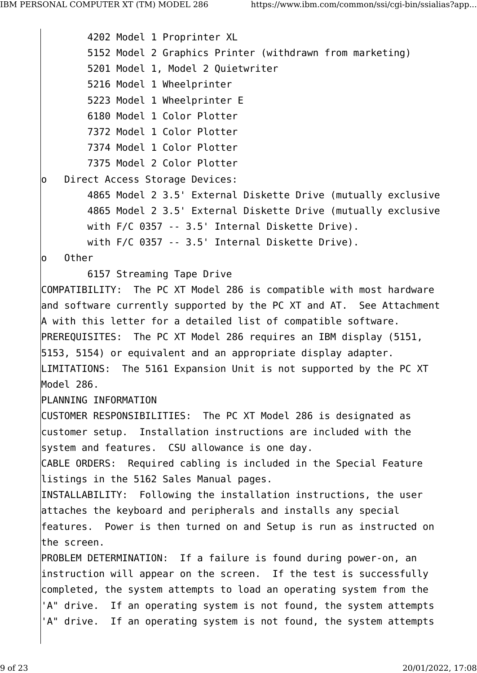4202 Model 1 Proprinter XL 5152 Model 2 Graphics Printer (withdrawn from marketing) 5201 Model 1, Model 2 Quietwriter 5216 Model 1 Wheelprinter 5223 Model 1 Wheelprinter E 6180 Model 1 Color Plotter 7372 Model 1 Color Plotter 7374 Model 1 Color Plotter 7375 Model 2 Color Plotter o Direct Access Storage Devices: 4865 Model 2 3.5' External Diskette Drive (mutually exclusive 4865 Model 2 3.5' External Diskette Drive (mutually exclusive with F/C 0357 -- 3.5' Internal Diskette Drive). with F/C 0357 -- 3.5' Internal Diskette Drive). o Other 6157 Streaming Tape Drive COMPATIBILITY: The PC XT Model 286 is compatible with most hardware and software currently supported by the PC XT and AT. See Attachment A with this letter for a detailed list of compatible software. PREREQUISITES: The PC XT Model 286 requires an IBM display (5151, 5153, 5154) or equivalent and an appropriate display adapter. LIMITATIONS: The 5161 Expansion Unit is not supported by the PC XT Model 286. PLANNING INFORMATION CUSTOMER RESPONSIBILITIES: The PC XT Model 286 is designated as customer setup. Installation instructions are included with the system and features. CSU allowance is one day. CABLE ORDERS: Required cabling is included in the Special Feature listings in the 5162 Sales Manual pages. INSTALLABILITY: Following the installation instructions, the user attaches the keyboard and peripherals and installs any special features. Power is then turned on and Setup is run as instructed on the screen. PROBLEM DETERMINATION: If a failure is found during power-on, an instruction will appear on the screen. If the test is successfully completed, the system attempts to load an operating system from the 'A" drive. If an operating system is not found, the system attempts 'A" drive. If an operating system is not found, the system attempts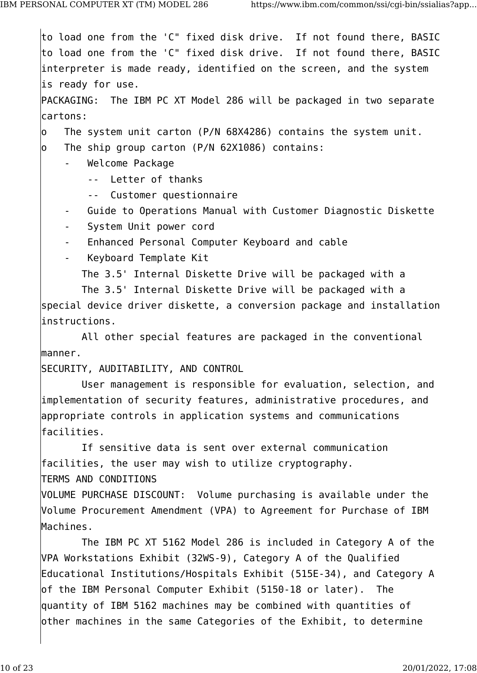to load one from the 'C" fixed disk drive. If not found there, BASIC to load one from the 'C" fixed disk drive. If not found there, BASIC interpreter is made ready, identified on the screen, and the system is ready for use. PACKAGING: The IBM PC XT Model 286 will be packaged in two separate cartons: o The system unit carton (P/N 68X4286) contains the system unit. o The ship group carton (P/N 62X1086) contains: - Welcome Package -- Letter of thanks -- Customer questionnaire Guide to Operations Manual with Customer Diagnostic Diskette System Unit power cord - Enhanced Personal Computer Keyboard and cable - Keyboard Template Kit The 3.5' Internal Diskette Drive will be packaged with a The 3.5' Internal Diskette Drive will be packaged with a special device driver diskette, a conversion package and installation instructions. All other special features are packaged in the conventional manner. SECURITY, AUDITABILITY, AND CONTROL User management is responsible for evaluation, selection, and implementation of security features, administrative procedures, and appropriate controls in application systems and communications facilities. If sensitive data is sent over external communication facilities, the user may wish to utilize cryptography. TERMS AND CONDITIONS VOLUME PURCHASE DISCOUNT: Volume purchasing is available under the Volume Procurement Amendment (VPA) to Agreement for Purchase of IBM Machines. The IBM PC XT 5162 Model 286 is included in Category A of the VPA Workstations Exhibit (32WS-9), Category A of the Qualified Educational Institutions/Hospitals Exhibit (515E-34), and Category A of the IBM Personal Computer Exhibit (5150-18 or later). The quantity of IBM 5162 machines may be combined with quantities of other machines in the same Categories of the Exhibit, to determine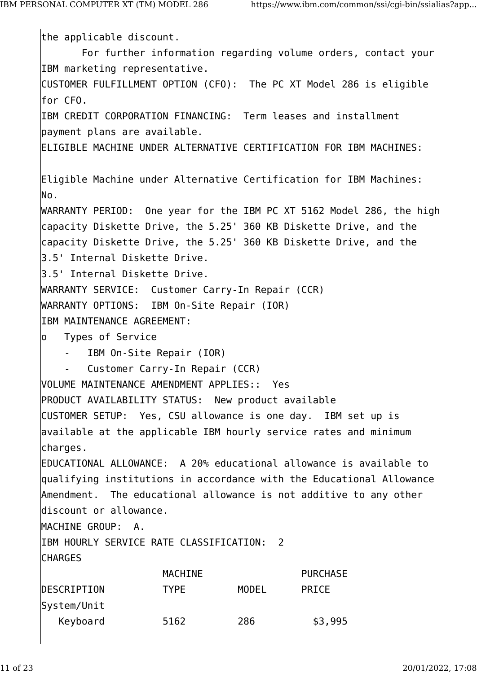the applicable discount. For further information regarding volume orders, contact your IBM marketing representative. CUSTOMER FULFILLMENT OPTION (CFO): The PC XT Model 286 is eligible for CFO. IBM CREDIT CORPORATION FINANCING: Term leases and installment payment plans are available. ELIGIBLE MACHINE UNDER ALTERNATIVE CERTIFICATION FOR IBM MACHINES: Eligible Machine under Alternative Certification for IBM Machines: No. WARRANTY PERIOD: One year for the IBM PC XT 5162 Model 286, the high capacity Diskette Drive, the 5.25' 360 KB Diskette Drive, and the capacity Diskette Drive, the 5.25' 360 KB Diskette Drive, and the 3.5' Internal Diskette Drive. 3.5' Internal Diskette Drive. WARRANTY SERVICE: Customer Carry-In Repair (CCR) WARRANTY OPTIONS: IBM On-Site Repair (IOR) IBM MAINTENANCE AGREEMENT: o Types of Service - IBM On-Site Repair (IOR) Customer Carry-In Repair (CCR) VOLUME MAINTENANCE AMENDMENT APPLIES:: Yes PRODUCT AVAILABILITY STATUS: New product available CUSTOMER SETUP: Yes, CSU allowance is one day. IBM set up is available at the applicable IBM hourly service rates and minimum charges. EDUCATIONAL ALLOWANCE: A 20% educational allowance is available to qualifying institutions in accordance with the Educational Allowance Amendment. The educational allowance is not additive to any other discount or allowance. MACHINE GROUP: A. IBM HOURLY SERVICE RATE CLASSIFICATION: 2 CHARGES MACHINE PURCHASE DESCRIPTION TYPE MODEL PRICE System/Unit Keyboard 5162 286 \$3,995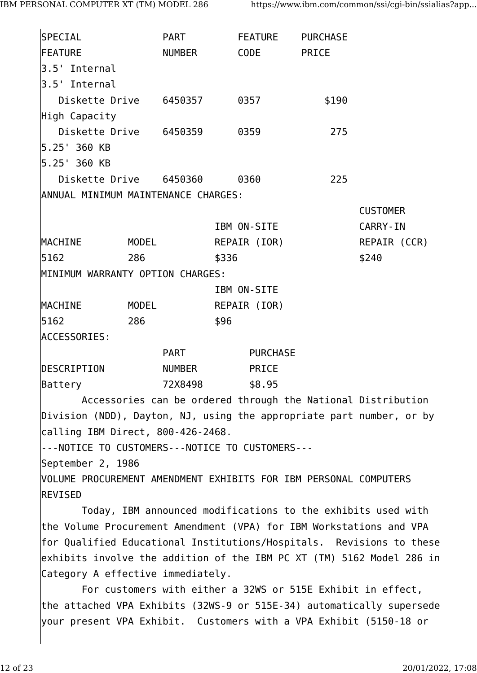| <b>SPECIAL</b>                                                       |       | <b>PART</b>        |       | FEATURE         | <b>PURCHASE</b> |                                                                      |
|----------------------------------------------------------------------|-------|--------------------|-------|-----------------|-----------------|----------------------------------------------------------------------|
| <b>FEATURE</b>                                                       |       | <b>NUMBER</b>      |       | <b>CODE</b>     | PRICE           |                                                                      |
| 3.5' Internal                                                        |       |                    |       |                 |                 |                                                                      |
| 3.5' Internal                                                        |       |                    |       |                 |                 |                                                                      |
| Diskette Drive 6450357                                               |       |                    |       | 0357            | \$190           |                                                                      |
| High Capacity                                                        |       |                    |       |                 |                 |                                                                      |
| Diskette Drive 6450359                                               |       |                    |       | 0359            | 275             |                                                                      |
| 5.25' 360 KB                                                         |       |                    |       |                 |                 |                                                                      |
| 5.25' 360 KB                                                         |       |                    |       |                 |                 |                                                                      |
| Diskette Drive 6450360                                               |       |                    |       | 0360            | 225             |                                                                      |
| ANNUAL MINIMUM MAINTENANCE CHARGES:                                  |       |                    |       |                 |                 |                                                                      |
|                                                                      |       |                    |       |                 |                 | <b>CUSTOMER</b>                                                      |
|                                                                      |       |                    |       | IBM ON-SITE     |                 | <b>CARRY-IN</b>                                                      |
| MACHINE                                                              | MODEL |                    |       | REPAIR (IOR)    |                 | REPAIR (CCR)                                                         |
| 5162                                                                 | 286   |                    | \$336 |                 |                 | \$240                                                                |
| MINIMUM WARRANTY OPTION CHARGES:                                     |       |                    |       |                 |                 |                                                                      |
|                                                                      |       |                    |       | IBM ON-SITE     |                 |                                                                      |
| MACHINE                                                              | MODEL |                    |       | REPAIR (IOR)    |                 |                                                                      |
| 5162                                                                 | 286   |                    | \$96  |                 |                 |                                                                      |
| <b>ACCESSORIES:</b>                                                  |       |                    |       |                 |                 |                                                                      |
|                                                                      |       | <b>PART</b>        |       | <b>PURCHASE</b> |                 |                                                                      |
| DESCRIPTION                                                          |       | <b>NUMBER</b>      |       | PRICE           |                 |                                                                      |
| Battery                                                              |       | 72X8498     \$8.95 |       |                 |                 |                                                                      |
|                                                                      |       |                    |       |                 |                 | Accessories can be ordered through the National Distribution         |
| Division (NDD), Dayton, NJ, using the appropriate part number, or by |       |                    |       |                 |                 |                                                                      |
| calling IBM Direct, 800-426-2468.                                    |       |                    |       |                 |                 |                                                                      |
| --- NOTICE TO CUSTOMERS --- NOTICE TO CUSTOMERS ---                  |       |                    |       |                 |                 |                                                                      |
| September 2, 1986                                                    |       |                    |       |                 |                 |                                                                      |
| VOLUME PROCUREMENT AMENDMENT EXHIBITS FOR IBM PERSONAL COMPUTERS     |       |                    |       |                 |                 |                                                                      |
| <b>REVISED</b>                                                       |       |                    |       |                 |                 |                                                                      |
|                                                                      |       |                    |       |                 |                 | Today, IBM announced modifications to the exhibits used with         |
| the Volume Procurement Amendment (VPA) for IBM Workstations and VPA  |       |                    |       |                 |                 |                                                                      |
|                                                                      |       |                    |       |                 |                 | for Qualified Educational Institutions/Hospitals. Revisions to these |

exhibits involve the addition of the IBM PC XT (TM) 5162 Model 286 in Category A effective immediately.

For customers with either a 32WS or 515E Exhibit in effect, the attached VPA Exhibits (32WS-9 or 515E-34) automatically supersede your present VPA Exhibit. Customers with a VPA Exhibit (5150-18 or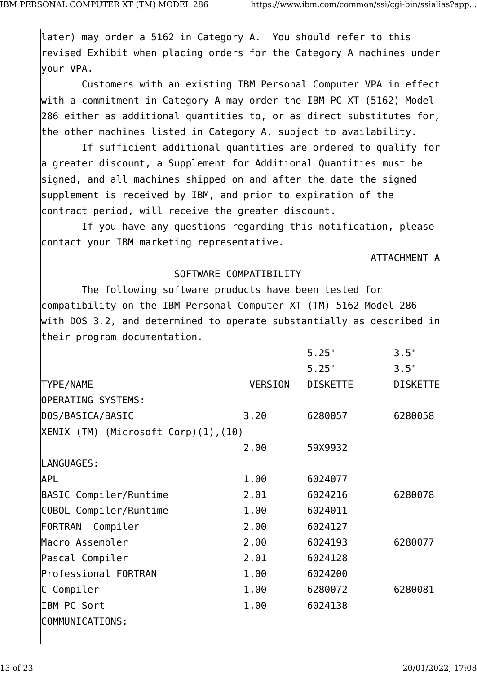later) may order a 5162 in Category A. You should refer to this revised Exhibit when placing orders for the Category A machines under your VPA.

Customers with an existing IBM Personal Computer VPA in effect with a commitment in Category A may order the IBM PC XT (5162) Model 286 either as additional quantities to, or as direct substitutes for, the other machines listed in Category A, subject to availability.

If sufficient additional quantities are ordered to qualify for a greater discount, a Supplement for Additional Quantities must be signed, and all machines shipped on and after the date the signed supplement is received by IBM, and prior to expiration of the contract period, will receive the greater discount.

If you have any questions regarding this notification, please contact your IBM marketing representative.

ATTACHMENT A

### SOFTWARE COMPATIBILITY

The following software products have been tested for compatibility on the IBM Personal Computer XT (TM) 5162 Model 286 with DOS 3.2, and determined to operate substantially as described in their program documentation.

|                                        |                | 5.25'           | 3.5"            |
|----------------------------------------|----------------|-----------------|-----------------|
|                                        |                | 5.25'           | 3.5"            |
| TYPE/NAME                              | <b>VERSION</b> | <b>DISKETTE</b> | <b>DISKETTE</b> |
| <b>OPERATING SYSTEMS:</b>              |                |                 |                 |
| DOS/BASICA/BASIC                       | 3.20           | 6280057         | 6280058         |
| $ XENIX$ (TM) (Microsoft Corp)(1),(10) |                |                 |                 |
|                                        | 2.00           | 59X9932         |                 |
| LANGUAGES:                             |                |                 |                 |
| <b>APL</b>                             | 1.00           | 6024077         |                 |
| BASIC Compiler/Runtime                 | 2.01           | 6024216         | 6280078         |
| COBOL Compiler/Runtime                 | 1.00           | 6024011         |                 |
| FORTRAN Compiler                       | 2.00           | 6024127         |                 |
| Macro Assembler                        | 2.00           | 6024193         | 6280077         |
| Pascal Compiler                        | 2.01           | 6024128         |                 |
| Professional FORTRAN                   | 1.00           | 6024200         |                 |
| C Compiler                             | 1.00           | 6280072         | 6280081         |
| IBM PC Sort                            | 1.00           | 6024138         |                 |
| COMMUNICATIONS:                        |                |                 |                 |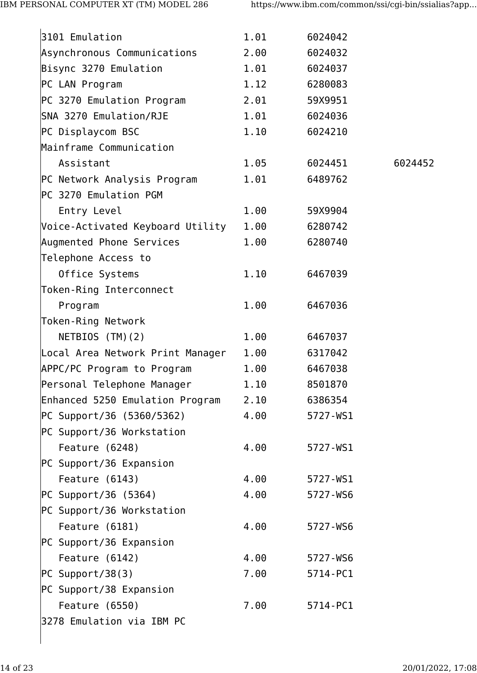| 3101 Emulation                   | 1.01 | 6024042  |         |
|----------------------------------|------|----------|---------|
| Asynchronous Communications      | 2.00 | 6024032  |         |
| Bisync 3270 Emulation            | 1.01 | 6024037  |         |
| PC LAN Program                   | 1.12 | 6280083  |         |
| PC 3270 Emulation Program        | 2.01 | 59X9951  |         |
| SNA 3270 Emulation/RJE           | 1.01 | 6024036  |         |
| PC Displaycom BSC                | 1.10 | 6024210  |         |
| Mainframe Communication          |      |          |         |
| Assistant                        | 1.05 | 6024451  | 6024452 |
| PC Network Analysis Program      | 1.01 | 6489762  |         |
| PC 3270 Emulation PGM            |      |          |         |
| Entry Level                      | 1.00 | 59X9904  |         |
| Voice-Activated Keyboard Utility | 1.00 | 6280742  |         |
| Augmented Phone Services         | 1.00 | 6280740  |         |
| Telephone Access to              |      |          |         |
| Office Systems                   | 1.10 | 6467039  |         |
| Token-Ring Interconnect          |      |          |         |
| Program                          | 1.00 | 6467036  |         |
| Token-Ring Network               |      |          |         |
| NETBIOS (TM)(2)                  | 1.00 | 6467037  |         |
| Local Area Network Print Manager | 1.00 | 6317042  |         |
| APPC/PC Program to Program       | 1.00 | 6467038  |         |
| Personal Telephone Manager       | 1.10 | 8501870  |         |
| Enhanced 5250 Emulation Program  | 2.10 | 6386354  |         |
| PC Support/36 (5360/5362)        | 4.00 | 5727-WS1 |         |
| PC Support/36 Workstation        |      |          |         |
| Feature (6248)                   | 4.00 | 5727-WS1 |         |
| PC Support/36 Expansion          |      |          |         |
| Feature $(6143)$                 | 4.00 | 5727-WS1 |         |
| PC Support/36 (5364)             | 4.00 | 5727-WS6 |         |
| PC Support/36 Workstation        |      |          |         |
| Feature (6181)                   | 4.00 | 5727-WS6 |         |
| PC Support/36 Expansion          |      |          |         |
| Feature (6142)                   | 4.00 | 5727-WS6 |         |
| PC Support/38(3)                 | 7.00 | 5714-PC1 |         |
| PC Support/38 Expansion          |      |          |         |
| Feature $(6550)$                 | 7.00 | 5714-PC1 |         |
| 3278 Emulation via IBM PC        |      |          |         |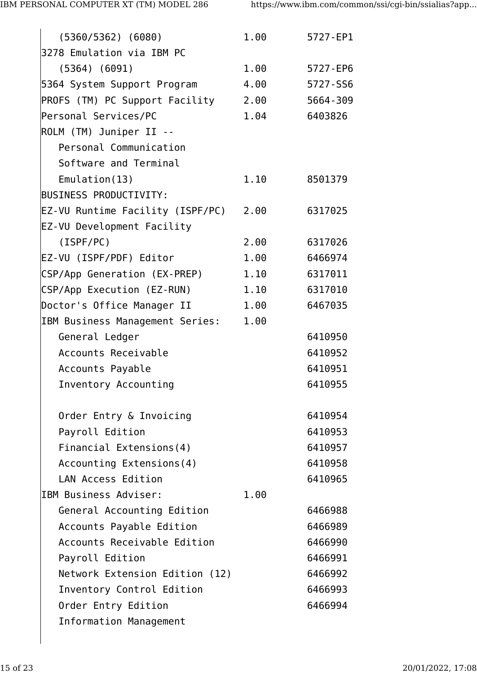| $(5360/5362)$ $(6080)$                | 1.00 | 5727-EP1 |
|---------------------------------------|------|----------|
| 3278 Emulation via IBM PC             |      |          |
| $(5364)$ $(6091)$                     | 1.00 | 5727-EP6 |
| 5364 System Support Program           | 4.00 | 5727-SS6 |
| PROFS (TM) PC Support Facility        | 2.00 | 5664-309 |
| Personal Services/PC                  | 1.04 | 6403826  |
| ROLM (TM) Juniper II --               |      |          |
| Personal Communication                |      |          |
| Software and Terminal                 |      |          |
| Emulation(13)                         | 1.10 | 8501379  |
| <b>BUSINESS PRODUCTIVITY:</b>         |      |          |
| EZ-VU Runtime Facility (ISPF/PC) 2.00 |      | 6317025  |
| EZ-VU Development Facility            |      |          |
| (ISPF/PC)                             | 2.00 | 6317026  |
| EZ-VU (ISPF/PDF) Editor               | 1.00 | 6466974  |
| CSP/App Generation (EX-PREP)          | 1.10 | 6317011  |
| CSP/App Execution (EZ-RUN)            | 1.10 | 6317010  |
| Doctor's Office Manager II            | 1.00 | 6467035  |
| IBM Business Management Series:       | 1.00 |          |
| General Ledger                        |      | 6410950  |
| Accounts Receivable                   |      | 6410952  |
| Accounts Payable                      |      | 6410951  |
| Inventory Accounting                  |      | 6410955  |
|                                       |      |          |
| Order Entry & Invoicing               |      | 6410954  |
| Payroll Edition                       |      | 6410953  |
| Financial Extensions(4)               |      | 6410957  |
| Accounting Extensions(4)              |      | 6410958  |
| LAN Access Edition                    |      | 6410965  |
| IBM Business Adviser:                 | 1.00 |          |
| General Accounting Edition            |      | 6466988  |
| Accounts Payable Edition              |      | 6466989  |
| Accounts Receivable Edition           |      | 6466990  |
| Payroll Edition                       |      | 6466991  |
| Network Extension Edition (12)        |      | 6466992  |
| Inventory Control Edition             |      | 6466993  |
| Order Entry Edition                   |      | 6466994  |
| Information Management                |      |          |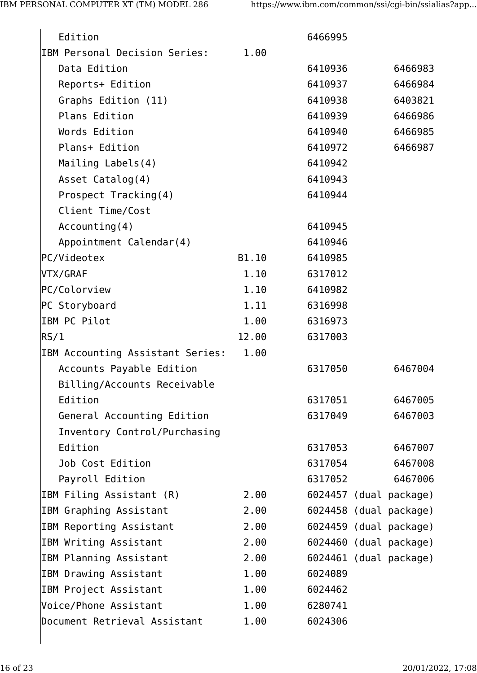| Edition                          |       | 6466995 |                        |
|----------------------------------|-------|---------|------------------------|
| IBM Personal Decision Series:    | 1.00  |         |                        |
| Data Edition                     |       | 6410936 | 6466983                |
| Reports+ Edition                 |       | 6410937 | 6466984                |
| Graphs Edition (11)              |       | 6410938 | 6403821                |
| <b>Plans Edition</b>             |       | 6410939 | 6466986                |
| Words Edition                    |       | 6410940 | 6466985                |
| Plans+ Edition                   |       | 6410972 | 6466987                |
| Mailing Labels(4)                |       | 6410942 |                        |
| Asset Catalog(4)                 |       | 6410943 |                        |
| Prospect Tracking(4)             |       | 6410944 |                        |
| Client Time/Cost                 |       |         |                        |
| Accounting(4)                    |       | 6410945 |                        |
| Appointment Calendar(4)          |       | 6410946 |                        |
| PC/Videotex                      | B1.10 | 6410985 |                        |
| VTX/GRAF                         | 1.10  | 6317012 |                        |
| PC/Colorview                     | 1.10  | 6410982 |                        |
| PC Storyboard                    | 1.11  | 6316998 |                        |
| IBM PC Pilot                     | 1.00  | 6316973 |                        |
| RS/1                             | 12.00 | 6317003 |                        |
| IBM Accounting Assistant Series: | 1.00  |         |                        |
| Accounts Payable Edition         |       | 6317050 | 6467004                |
| Billing/Accounts Receivable      |       |         |                        |
| Edition                          |       | 6317051 | 6467005                |
| General Accounting Edition       |       | 6317049 | 6467003                |
| Inventory Control/Purchasing     |       |         |                        |
| Edition                          |       | 6317053 | 6467007                |
| Job Cost Edition                 |       | 6317054 | 6467008                |
| Payroll Edition                  |       | 6317052 | 6467006                |
| IBM Filing Assistant (R)         | 2.00  |         | 6024457 (dual package) |
| IBM Graphing Assistant           | 2.00  |         | 6024458 (dual package) |
| IBM Reporting Assistant          | 2.00  |         | 6024459 (dual package) |
| IBM Writing Assistant            | 2.00  |         | 6024460 (dual package) |
| IBM Planning Assistant           | 2.00  |         | 6024461 (dual package) |
| IBM Drawing Assistant            | 1.00  | 6024089 |                        |
| IBM Project Assistant            | 1.00  | 6024462 |                        |
| Voice/Phone Assistant            | 1.00  | 6280741 |                        |
| Document Retrieval Assistant     | 1.00  | 6024306 |                        |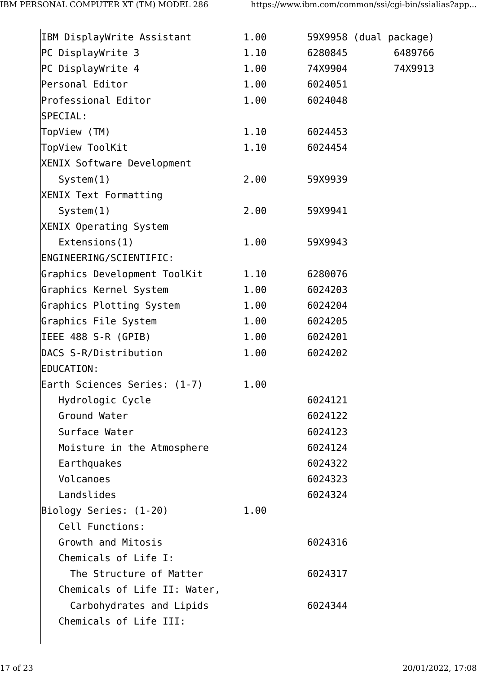| IBM DisplayWrite Assistant   | 1.00 |         | 59X9958 (dual package) |
|------------------------------|------|---------|------------------------|
| PC DisplayWrite 3            | 1.10 | 6280845 | 6489766                |
| PC DisplayWrite 4            | 1.00 | 74X9904 | 74X9913                |
| Personal Editor              | 1.00 | 6024051 |                        |
| Professional Editor          | 1.00 | 6024048 |                        |
| SPECIAL:                     |      |         |                        |
| TopView (TM)                 | 1.10 | 6024453 |                        |
| TopView ToolKit              | 1.10 | 6024454 |                        |
| XENIX Software Development   |      |         |                        |
| System(1)                    | 2.00 | 59X9939 |                        |
| XENIX Text Formatting        |      |         |                        |
| System(1)                    | 2.00 | 59X9941 |                        |
| XENIX Operating System       |      |         |                        |
| Extensions(1)                | 1.00 | 59X9943 |                        |
| ENGINEERING/SCIENTIFIC:      |      |         |                        |
| Graphics Development ToolKit | 1.10 | 6280076 |                        |
| Graphics Kernel System       | 1.00 | 6024203 |                        |
| Graphics Plotting System     | 1.00 | 6024204 |                        |
| Graphics File System         | 1.00 | 6024205 |                        |
| IEEE 488 S-R (GPIB)          | 1.00 | 6024201 |                        |
| DACS S-R/Distribution        | 1.00 | 6024202 |                        |
| EDUCATION:                   |      |         |                        |
| Earth Sciences Series: (1-7) | 1.00 |         |                        |
| Hydrologic Cycle             |      | 6024121 |                        |
| Ground Water                 |      | 6024122 |                        |
| Surface Water                |      | 6024123 |                        |
| Moisture in the Atmosphere   |      | 6024124 |                        |
| Earthquakes                  |      | 6024322 |                        |
| Volcanoes                    |      | 6024323 |                        |
| Landslides                   |      | 6024324 |                        |
| Biology Series: (1-20)       | 1.00 |         |                        |
| Cell Functions:              |      |         |                        |
| Growth and Mitosis           |      | 6024316 |                        |
| Chemicals of Life I:         |      |         |                        |
| The Structure of Matter      |      | 6024317 |                        |
| Chemicals of Life II: Water, |      |         |                        |
| Carbohydrates and Lipids     |      | 6024344 |                        |
| Chemicals of Life III:       |      |         |                        |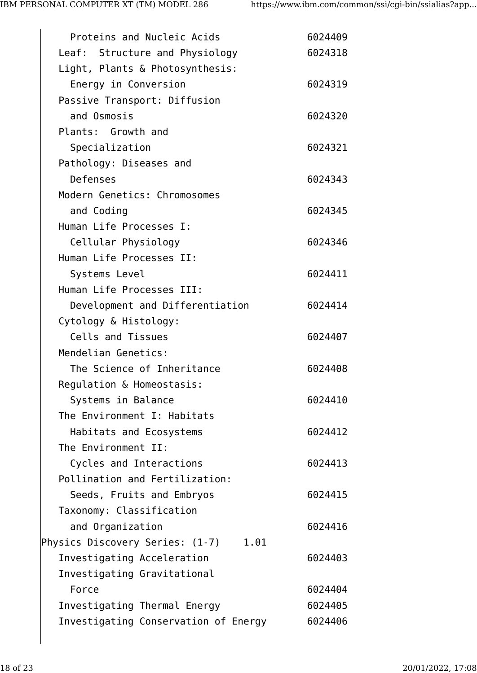| Proteins and Nucleic Acids           | 6024409 |
|--------------------------------------|---------|
| Leaf: Structure and Physiology       | 6024318 |
| Light, Plants & Photosynthesis:      |         |
| Energy in Conversion                 | 6024319 |
| Passive Transport: Diffusion         |         |
| and Osmosis                          | 6024320 |
| Plants: Growth and                   |         |
| Specialization                       | 6024321 |
| Pathology: Diseases and              |         |
| Defenses                             | 6024343 |
| Modern Genetics: Chromosomes         |         |
| and Coding                           | 6024345 |
| Human Life Processes I:              |         |
| Cellular Physiology                  | 6024346 |
| Human Life Processes II:             |         |
| Systems Level                        | 6024411 |
| Human Life Processes III:            |         |
| Development and Differentiation      | 6024414 |
| Cytology & Histology:                |         |
| Cells and Tissues                    | 6024407 |
| Mendelian Genetics:                  |         |
| The Science of Inheritance           | 6024408 |
| Regulation & Homeostasis:            |         |
| Systems in Balance                   | 6024410 |
| The Environment I: Habitats          |         |
| Habitats and Ecosystems              | 6024412 |
| The Environment II:                  |         |
| Cycles and Interactions              | 6024413 |
| Pollination and Fertilization:       |         |
| Seeds, Fruits and Embryos            | 6024415 |
| Taxonomy: Classification             |         |
| and Organization                     | 6024416 |
| Physics Discovery Series: (1-7) 1.01 |         |
| Investigating Acceleration           | 6024403 |
| Investigating Gravitational          |         |
| Force                                | 6024404 |
| Investigating Thermal Energy         | 6024405 |
| Investigating Conservation of Energy | 6024406 |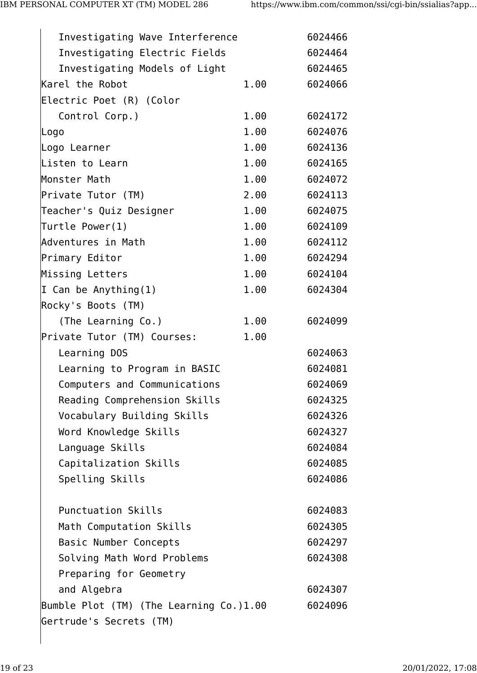| Investigating Wave Interference         |      | 6024466 |
|-----------------------------------------|------|---------|
| Investigating Electric Fields           |      | 6024464 |
| Investigating Models of Light           |      | 6024465 |
| Karel the Robot                         | 1.00 | 6024066 |
| Electric Poet (R) (Color                |      |         |
| Control Corp.)                          | 1.00 | 6024172 |
| Logo                                    | 1.00 | 6024076 |
| Logo Learner                            | 1.00 | 6024136 |
| Listen to Learn                         | 1.00 | 6024165 |
| Monster Math                            | 1.00 | 6024072 |
| Private Tutor (TM)                      | 2.00 | 6024113 |
| Teacher's Quiz Designer                 | 1.00 | 6024075 |
| Turtle Power(1)                         | 1.00 | 6024109 |
| Adventures in Math                      | 1.00 | 6024112 |
| Primary Editor                          | 1.00 | 6024294 |
| Missing Letters                         | 1.00 | 6024104 |
| I Can be Anything $(1)$                 | 1.00 | 6024304 |
| Rocky's Boots (TM)                      |      |         |
| (The Learning Co.)                      | 1.00 | 6024099 |
| Private Tutor (TM) Courses:             | 1.00 |         |
| Learning DOS                            |      | 6024063 |
| Learning to Program in BASIC            |      | 6024081 |
| Computers and Communications            |      | 6024069 |
| Reading Comprehension Skills            |      | 6024325 |
| Vocabulary Building Skills              |      | 6024326 |
| Word Knowledge Skills                   |      | 6024327 |
| Language Skills                         |      | 6024084 |
| Capitalization Skills                   |      | 6024085 |
| Spelling Skills                         |      | 6024086 |
|                                         |      |         |
| <b>Punctuation Skills</b>               |      | 6024083 |
| Math Computation Skills                 |      | 6024305 |
| Basic Number Concepts                   |      | 6024297 |
| Solving Math Word Problems              |      | 6024308 |
| Preparing for Geometry                  |      |         |
| and Algebra                             |      | 6024307 |
| Bumble Plot (TM) (The Learning Co.)1.00 |      | 6024096 |
| Gertrude's Secrets (TM)                 |      |         |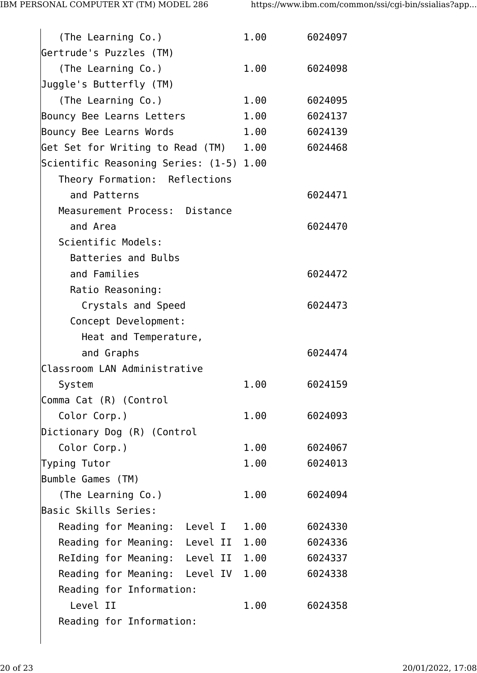| (The Learning Co.)                      | 1.00 | 6024097 |
|-----------------------------------------|------|---------|
| Gertrude's Puzzles (TM)                 |      |         |
| (The Learning Co.)                      | 1.00 | 6024098 |
| Juggle's Butterfly (TM)                 |      |         |
| (The Learning Co.)                      | 1.00 | 6024095 |
| Bouncy Bee Learns Letters               | 1.00 | 6024137 |
| Bouncy Bee Learns Words                 | 1.00 | 6024139 |
| Get Set for Writing to Read (TM) 1.00   |      | 6024468 |
| Scientific Reasoning Series: (1-5) 1.00 |      |         |
| Theory Formation: Reflections           |      |         |
| and Patterns                            |      | 6024471 |
| Measurement Process: Distance           |      |         |
| and Area                                |      | 6024470 |
| Scientific Models:                      |      |         |
| Batteries and Bulbs                     |      |         |
| and Families                            |      | 6024472 |
| Ratio Reasoning:                        |      |         |
| Crystals and Speed                      |      | 6024473 |
| Concept Development:                    |      |         |
| Heat and Temperature,                   |      |         |
| and Graphs                              |      | 6024474 |
| Classroom LAN Administrative            |      |         |
| System                                  | 1.00 | 6024159 |
| Comma Cat (R) (Control                  |      |         |
| Color Corp.)                            | 1.00 | 6024093 |
| Dictionary Dog (R) (Control             |      |         |
| Color Corp.)                            | 1.00 | 6024067 |
| Typing Tutor                            | 1.00 | 6024013 |
| Bumble Games (TM)                       |      |         |
| (The Learning Co.)                      | 1.00 | 6024094 |
| Basic Skills Series:                    |      |         |
| Reading for Meaning: Level I 1.00       |      | 6024330 |
| Reading for Meaning: Level II 1.00      |      | 6024336 |
| ReIding for Meaning: Level II 1.00      |      | 6024337 |
| Reading for Meaning: Level IV 1.00      |      | 6024338 |
| Reading for Information:                |      |         |
| Level II                                | 1.00 | 6024358 |
| Reading for Information:                |      |         |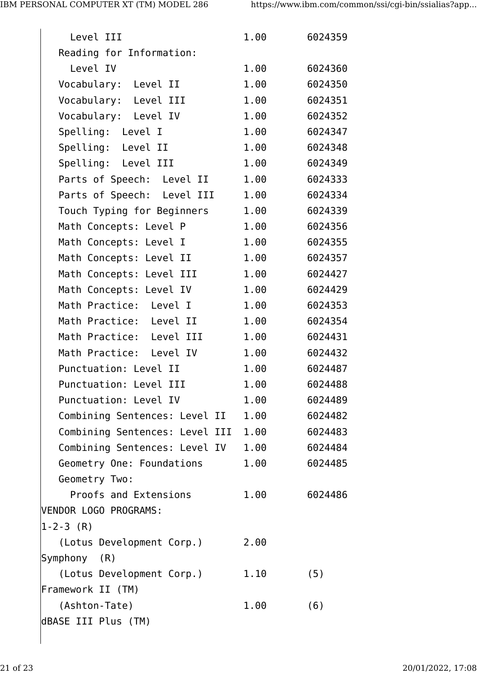| Level III                      | 1.00 | 6024359 |
|--------------------------------|------|---------|
| Reading for Information:       |      |         |
| Level IV                       | 1.00 | 6024360 |
| Vocabulary: Level II           | 1.00 | 6024350 |
| Vocabulary: Level III          | 1.00 | 6024351 |
| Vocabulary: Level IV           | 1.00 | 6024352 |
| Spelling: Level I              | 1.00 | 6024347 |
| Spelling: Level II             | 1.00 | 6024348 |
| Spelling: Level III            | 1.00 | 6024349 |
| Parts of Speech: Level II      | 1.00 | 6024333 |
| Parts of Speech: Level III     | 1.00 | 6024334 |
| Touch Typing for Beginners     | 1.00 | 6024339 |
| Math Concepts: Level P         | 1.00 | 6024356 |
| Math Concepts: Level I         | 1.00 | 6024355 |
| Math Concepts: Level II        | 1.00 | 6024357 |
| Math Concepts: Level III       | 1.00 | 6024427 |
| Math Concepts: Level IV        | 1.00 | 6024429 |
| Math Practice: Level I         | 1.00 | 6024353 |
| Math Practice: Level II        | 1.00 | 6024354 |
| Math Practice: Level III       | 1.00 | 6024431 |
| Math Practice: Level IV        | 1.00 | 6024432 |
| Punctuation: Level II          | 1.00 | 6024487 |
| Punctuation: Level III         | 1.00 | 6024488 |
| Punctuation: Level IV          | 1.00 | 6024489 |
| Combining Sentences: Level II  | 1.00 | 6024482 |
| Combining Sentences: Level III | 1.00 | 6024483 |
| Combining Sentences: Level IV  | 1.00 | 6024484 |
| Geometry One: Foundations      | 1.00 | 6024485 |
| Geometry Two:                  |      |         |
| Proofs and Extensions          | 1.00 | 6024486 |
| VENDOR LOGO PROGRAMS:          |      |         |
| $ 1 - 2 - 3 (R) $              |      |         |
| (Lotus Development Corp.)      | 2.00 |         |
| Symphony (R)                   |      |         |
| (Lotus Development Corp.)      | 1.10 | (5)     |
| Framework II (TM)              |      |         |
| (Ashton-Tate)                  | 1.00 | (6)     |
| dBASE III Plus (TM)            |      |         |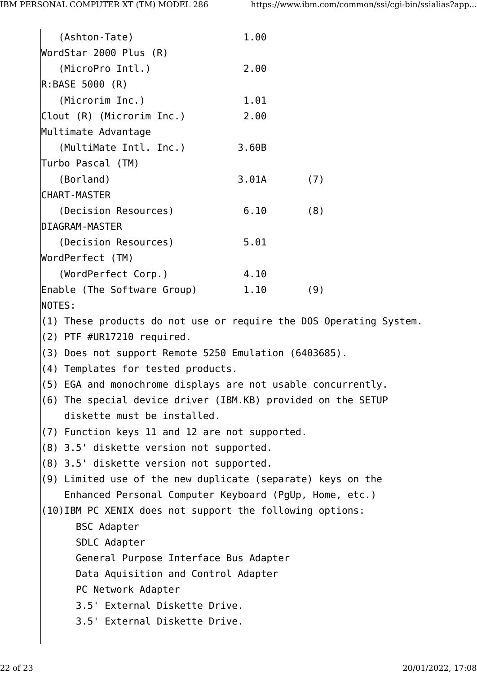Operating System.

| (Ashton-Tate)                                            | 1.00        |     |
|----------------------------------------------------------|-------------|-----|
| WordStar 2000 Plus (R)                                   |             |     |
| (MicroPro Intl.)                                         | 2.00        |     |
| R: BASE 5000 (R)                                         |             |     |
| (Microrim Inc.)                                          | 1.01        |     |
| Clout (R) (Microrim Inc.)                                | 2.00        |     |
| Multimate Advantage                                      |             |     |
| (MultiMate Intl. Inc.)                                   | 3.60B       |     |
| Turbo Pascal (TM)                                        |             |     |
| (Borland)                                                | $3.01A$ (7) |     |
| <b>CHART-MASTER</b>                                      |             |     |
| (Decision Resources)                                     | 6.10        | (8) |
| <b>DIAGRAM-MASTER</b>                                    |             |     |
| (Decision Resources)                                     | 5.01        |     |
| WordPerfect (TM)                                         |             |     |
| (WordPerfect Corp.)                                      | 4.10        |     |
| Enable (The Software Group)                              | 1.10        | (9) |
| NOTES:                                                   |             |     |
| $ (1)$ These products do not use or require the DOS Oper |             |     |
| $(2)$ PTF #UR17210 required.                             |             |     |
| $(3)$ Does not support Remote 5250 Emulation (6403685).  |             |     |

- (4) Templates for tested products.
- (5) EGA and monochrome displays are not usable concurrently.
- (6) The special device driver (IBM.KB) provided on the SETUP diskette must be installed.
- (7) Function keys 11 and 12 are not supported.
- (8) 3.5' diskette version not supported.
- (8) 3.5' diskette version not supported.
- (9) Limited use of the new duplicate (separate) keys on the Enhanced Personal Computer Keyboard (PgUp, Home, etc.)
- (10)IBM PC XENIX does not support the following options:
	- BSC Adapter SDLC Adapter General Purpose Interface Bus Adapter Data Aquisition and Control Adapter PC Network Adapter 3.5' External Diskette Drive. 3.5' External Diskette Drive.